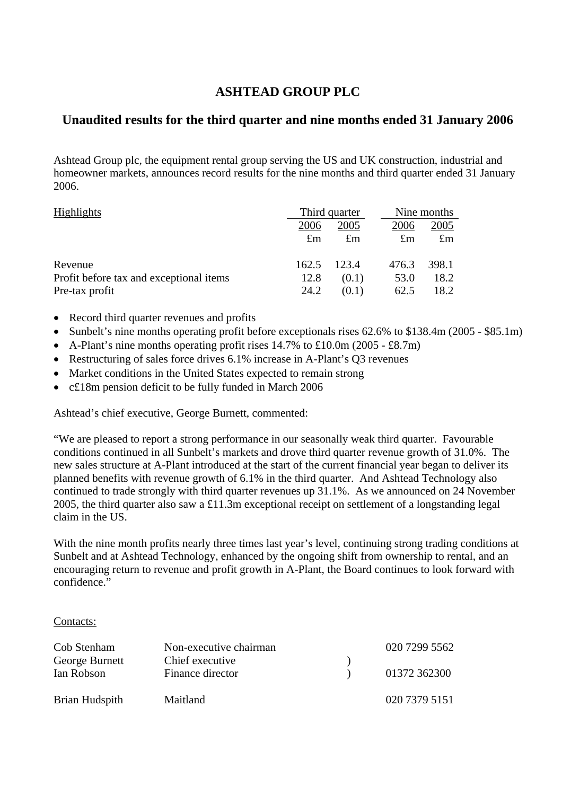# **ASHTEAD GROUP PLC**

# **Unaudited results for the third quarter and nine months ended 31 January 2006**

Ashtead Group plc, the equipment rental group serving the US and UK construction, industrial and homeowner markets, announces record results for the nine months and third quarter ended 31 January 2006.

| <b>Highlights</b>                       | Third quarter |             | Nine months |             |
|-----------------------------------------|---------------|-------------|-------------|-------------|
|                                         | 2006          | 2005        | 2006        | 2005        |
|                                         | $\pounds$ m   | $\pounds$ m | $\pounds$ m | $\pounds$ m |
| Revenue                                 | 162.5         | 123.4       | 476.3       | 398.1       |
| Profit before tax and exceptional items | 12.8          | (0.1)       | 53.0        | 18.2        |
| Pre-tax profit                          | 24.2          | (0.1)       | 62.5        | 18.2        |

- Record third quarter revenues and profits
- Sunbelt's nine months operating profit before exceptionals rises 62.6% to \$138.4m (2005 \$85.1m)
- A-Plant's nine months operating profit rises  $14.7\%$  to £10.0m (2005 £8.7m)
- Restructuring of sales force drives 6.1% increase in A-Plant's Q3 revenues
- Market conditions in the United States expected to remain strong
- c£18m pension deficit to be fully funded in March 2006

Ashtead's chief executive, George Burnett, commented:

"We are pleased to report a strong performance in our seasonally weak third quarter. Favourable conditions continued in all Sunbelt's markets and drove third quarter revenue growth of 31.0%. The new sales structure at A-Plant introduced at the start of the current financial year began to deliver its planned benefits with revenue growth of 6.1% in the third quarter. And Ashtead Technology also continued to trade strongly with third quarter revenues up 31.1%. As we announced on 24 November 2005, the third quarter also saw a £11.3m exceptional receipt on settlement of a longstanding legal claim in the US.

With the nine month profits nearly three times last year's level, continuing strong trading conditions at Sunbelt and at Ashtead Technology, enhanced by the ongoing shift from ownership to rental, and an encouraging return to revenue and profit growth in A-Plant, the Board continues to look forward with confidence."

### Contacts:

| Cob Stenham    | Non-executive chairman | 020 7299 5562 |
|----------------|------------------------|---------------|
| George Burnett | Chief executive        |               |
| Ian Robson     | Finance director       | 01372 362300  |
| Brian Hudspith | Maitland               | 020 7379 5151 |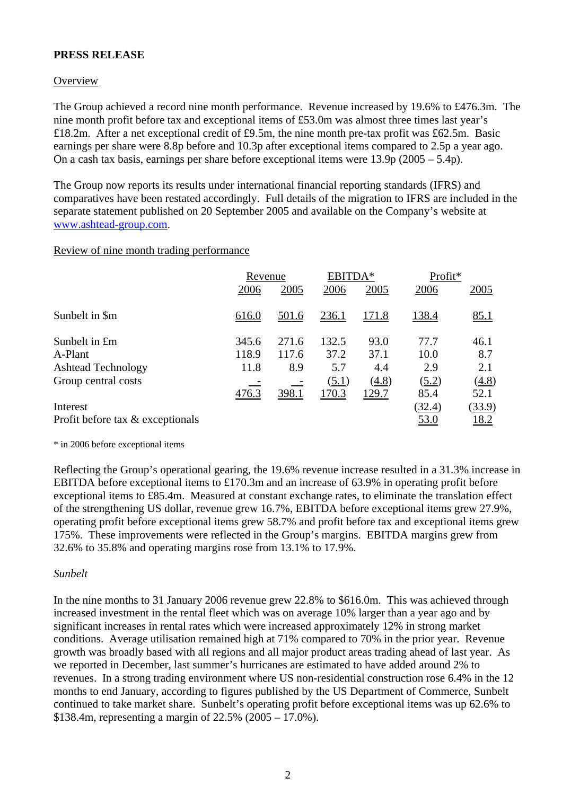# **PRESS RELEASE**

## **Overview**

The Group achieved a record nine month performance. Revenue increased by 19.6% to £476.3m. The nine month profit before tax and exceptional items of £53.0m was almost three times last year's £18.2m. After a net exceptional credit of £9.5m, the nine month pre-tax profit was £62.5m. Basic earnings per share were 8.8p before and 10.3p after exceptional items compared to 2.5p a year ago. On a cash tax basis, earnings per share before exceptional items were 13.9p (2005 – 5.4p).

The Group now reports its results under international financial reporting standards (IFRS) and comparatives have been restated accordingly. Full details of the migration to IFRS are included in the separate statement published on 20 September 2005 and available on the Company's website at [www.ashtead-group.com](http://www.ashtead-group.com/).

### Review of nine month trading performance

|                                  | Revenue |              | EBITDA* |               | Profit*     |              |
|----------------------------------|---------|--------------|---------|---------------|-------------|--------------|
|                                  | 2006    | 2005         | 2006    | 2005          | 2006        | 2005         |
| Sunbelt in \$m                   | 616.0   | <u>501.6</u> | 236.1   | <u> 171.8</u> | 138.4       | 85.1         |
| Sunbelt in £m                    | 345.6   | 271.6        | 132.5   | 93.0          | 77.7        | 46.1         |
| A-Plant                          | 118.9   | 117.6        | 37.2    | 37.1          | 10.0        | 8.7          |
| <b>Ashtead Technology</b>        | 11.8    | 8.9          | 5.7     | 4.4           | 2.9         | 2.1          |
| Group central costs              |         |              | (5.1)   | (4.8)         | (5.2)       | (4.8)        |
|                                  | 476.3   | <u>398.1</u> | 170.3   | 129.7         | 85.4        | 52.1         |
| Interest                         |         |              |         |               | (32.4)      | (33.9)       |
| Profit before tax & exceptionals |         |              |         |               | <u>53.0</u> | <u> 18.2</u> |

\* in 2006 before exceptional items

Reflecting the Group's operational gearing, the 19.6% revenue increase resulted in a 31.3% increase in EBITDA before exceptional items to £170.3m and an increase of 63.9% in operating profit before exceptional items to £85.4m. Measured at constant exchange rates, to eliminate the translation effect of the strengthening US dollar, revenue grew 16.7%, EBITDA before exceptional items grew 27.9%, operating profit before exceptional items grew 58.7% and profit before tax and exceptional items grew 175%. These improvements were reflected in the Group's margins. EBITDA margins grew from 32.6% to 35.8% and operating margins rose from 13.1% to 17.9%.

### *Sunbelt*

In the nine months to 31 January 2006 revenue grew 22.8% to \$616.0m. This was achieved through increased investment in the rental fleet which was on average 10% larger than a year ago and by significant increases in rental rates which were increased approximately 12% in strong market conditions. Average utilisation remained high at 71% compared to 70% in the prior year. Revenue growth was broadly based with all regions and all major product areas trading ahead of last year. As we reported in December, last summer's hurricanes are estimated to have added around 2% to revenues. In a strong trading environment where US non-residential construction rose 6.4% in the 12 months to end January, according to figures published by the US Department of Commerce, Sunbelt continued to take market share. Sunbelt's operating profit before exceptional items was up 62.6% to \$138.4m, representing a margin of 22.5% (2005 – 17.0%).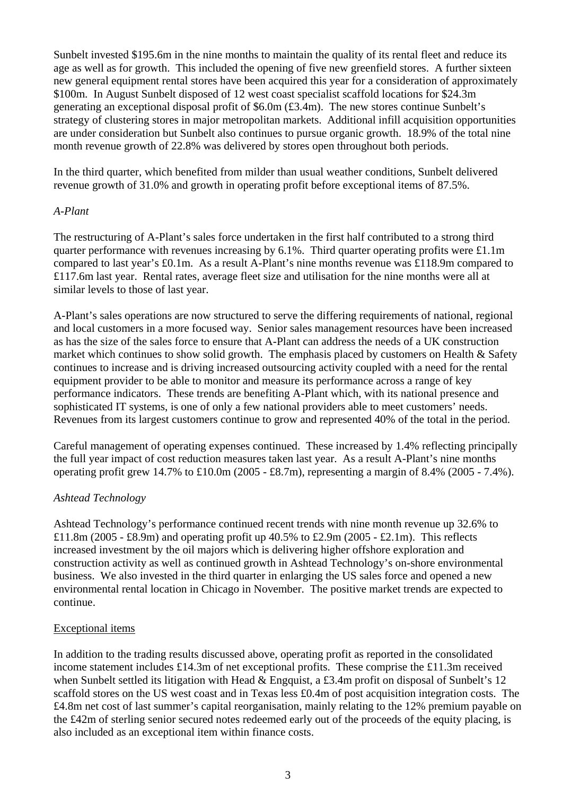Sunbelt invested \$195.6m in the nine months to maintain the quality of its rental fleet and reduce its age as well as for growth. This included the opening of five new greenfield stores. A further sixteen new general equipment rental stores have been acquired this year for a consideration of approximately \$100m. In August Sunbelt disposed of 12 west coast specialist scaffold locations for \$24.3m generating an exceptional disposal profit of \$6.0m (£3.4m). The new stores continue Sunbelt's strategy of clustering stores in major metropolitan markets. Additional infill acquisition opportunities are under consideration but Sunbelt also continues to pursue organic growth. 18.9% of the total nine month revenue growth of 22.8% was delivered by stores open throughout both periods.

In the third quarter, which benefited from milder than usual weather conditions, Sunbelt delivered revenue growth of 31.0% and growth in operating profit before exceptional items of 87.5%.

### *A-Plant*

The restructuring of A-Plant's sales force undertaken in the first half contributed to a strong third quarter performance with revenues increasing by 6.1%. Third quarter operating profits were £1.1m compared to last year's £0.1m. As a result A-Plant's nine months revenue was £118.9m compared to £117.6m last year. Rental rates, average fleet size and utilisation for the nine months were all at similar levels to those of last year.

A-Plant's sales operations are now structured to serve the differing requirements of national, regional and local customers in a more focused way. Senior sales management resources have been increased as has the size of the sales force to ensure that A-Plant can address the needs of a UK construction market which continues to show solid growth. The emphasis placed by customers on Health & Safety continues to increase and is driving increased outsourcing activity coupled with a need for the rental equipment provider to be able to monitor and measure its performance across a range of key performance indicators. These trends are benefiting A-Plant which, with its national presence and sophisticated IT systems, is one of only a few national providers able to meet customers' needs. Revenues from its largest customers continue to grow and represented 40% of the total in the period.

Careful management of operating expenses continued. These increased by 1.4% reflecting principally the full year impact of cost reduction measures taken last year. As a result A-Plant's nine months operating profit grew 14.7% to £10.0m (2005 - £8.7m), representing a margin of 8.4% (2005 - 7.4%).

# *Ashtead Technology*

Ashtead Technology's performance continued recent trends with nine month revenue up 32.6% to £11.8m (2005 - £8.9m) and operating profit up  $40.5\%$  to £2.9m (2005 - £2.1m). This reflects increased investment by the oil majors which is delivering higher offshore exploration and construction activity as well as continued growth in Ashtead Technology's on-shore environmental business. We also invested in the third quarter in enlarging the US sales force and opened a new environmental rental location in Chicago in November. The positive market trends are expected to continue.

# Exceptional items

In addition to the trading results discussed above, operating profit as reported in the consolidated income statement includes £14.3m of net exceptional profits. These comprise the £11.3m received when Sunbelt settled its litigation with Head & Engquist, a £3.4m profit on disposal of Sunbelt's 12 scaffold stores on the US west coast and in Texas less £0.4m of post acquisition integration costs. The £4.8m net cost of last summer's capital reorganisation, mainly relating to the 12% premium payable on the £42m of sterling senior secured notes redeemed early out of the proceeds of the equity placing, is also included as an exceptional item within finance costs.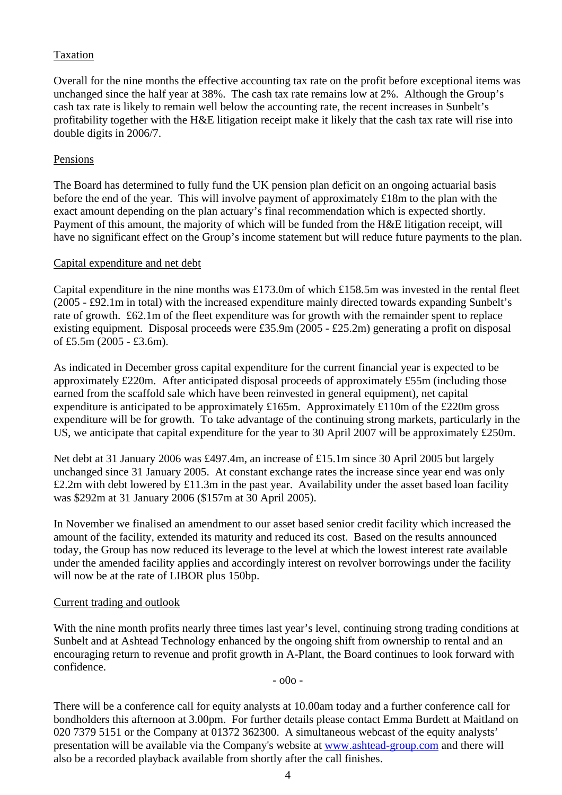# Taxation

Overall for the nine months the effective accounting tax rate on the profit before exceptional items was unchanged since the half year at 38%. The cash tax rate remains low at 2%. Although the Group's cash tax rate is likely to remain well below the accounting rate, the recent increases in Sunbelt's profitability together with the H&E litigation receipt make it likely that the cash tax rate will rise into double digits in 2006/7.

# Pensions

The Board has determined to fully fund the UK pension plan deficit on an ongoing actuarial basis before the end of the year. This will involve payment of approximately £18m to the plan with the exact amount depending on the plan actuary's final recommendation which is expected shortly. Payment of this amount, the majority of which will be funded from the H&E litigation receipt, will have no significant effect on the Group's income statement but will reduce future payments to the plan.

### Capital expenditure and net debt

Capital expenditure in the nine months was £173.0m of which £158.5m was invested in the rental fleet (2005 - £92.1m in total) with the increased expenditure mainly directed towards expanding Sunbelt's rate of growth. £62.1m of the fleet expenditure was for growth with the remainder spent to replace existing equipment. Disposal proceeds were £35.9m (2005 - £25.2m) generating a profit on disposal of £5.5m (2005 - £3.6m).

As indicated in December gross capital expenditure for the current financial year is expected to be approximately £220m. After anticipated disposal proceeds of approximately £55m (including those earned from the scaffold sale which have been reinvested in general equipment), net capital expenditure is anticipated to be approximately £165m. Approximately £110m of the £220m gross expenditure will be for growth. To take advantage of the continuing strong markets, particularly in the US, we anticipate that capital expenditure for the year to 30 April 2007 will be approximately £250m.

Net debt at 31 January 2006 was £497.4m, an increase of £15.1m since 30 April 2005 but largely unchanged since 31 January 2005. At constant exchange rates the increase since year end was only £2.2m with debt lowered by £11.3m in the past year. Availability under the asset based loan facility was \$292m at 31 January 2006 (\$157m at 30 April 2005).

In November we finalised an amendment to our asset based senior credit facility which increased the amount of the facility, extended its maturity and reduced its cost. Based on the results announced today, the Group has now reduced its leverage to the level at which the lowest interest rate available under the amended facility applies and accordingly interest on revolver borrowings under the facility will now be at the rate of LIBOR plus 150bp.

### Current trading and outlook

With the nine month profits nearly three times last year's level, continuing strong trading conditions at Sunbelt and at Ashtead Technology enhanced by the ongoing shift from ownership to rental and an encouraging return to revenue and profit growth in A-Plant, the Board continues to look forward with confidence.

- o0o -

There will be a conference call for equity analysts at 10.00am today and a further conference call for bondholders this afternoon at 3.00pm. For further details please contact Emma Burdett at Maitland on 020 7379 5151 or the Company at 01372 362300. A simultaneous webcast of the equity analysts' presentation will be available via the Company's website at [www.ashtead-group.com](http://www.ashtead-group.com/) and there will also be a recorded playback available from shortly after the call finishes.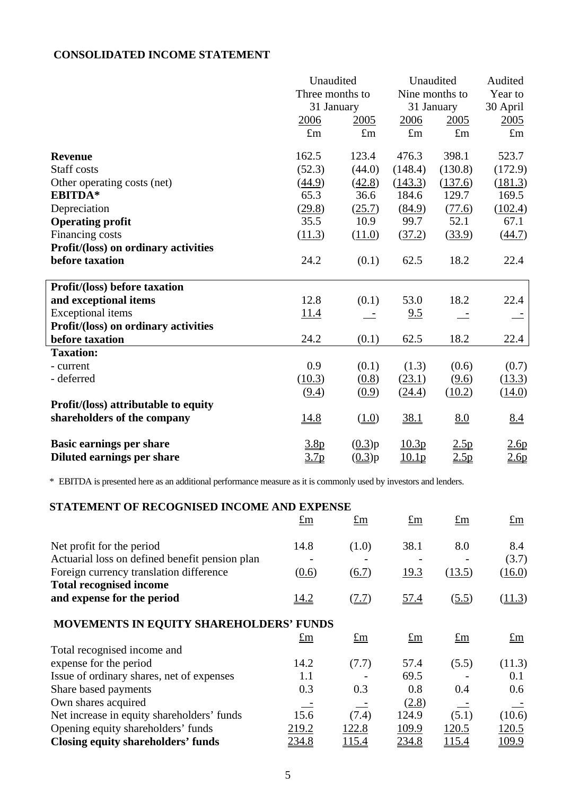# **CONSOLIDATED INCOME STATEMENT**

|                                      | Unaudited        |                      | Unaudited           |             | Audited     |
|--------------------------------------|------------------|----------------------|---------------------|-------------|-------------|
|                                      | Three months to  |                      | Nine months to      |             | Year to     |
|                                      | 31 January       |                      | 31 January          |             | 30 April    |
|                                      | 2006             | 2005                 | 2006                | 2005        | 2005        |
|                                      | $\pounds$ m      | $\pounds$ m          | $\pounds$ m         | $\pounds$ m | $\pounds$ m |
| <b>Revenue</b>                       | 162.5            | 123.4                | 476.3               | 398.1       | 523.7       |
| Staff costs                          | (52.3)           | (44.0)               | (148.4)             | (130.8)     | (172.9)     |
| Other operating costs (net)          | (44.9)           | (42.8)               | (143.3)             | (137.6)     | (181.3)     |
| <b>EBITDA*</b>                       | 65.3             | 36.6                 | 184.6               | 129.7       | 169.5       |
| Depreciation                         | (29.8)           | (25.7)               | (84.9)              | (77.6)      | (102.4)     |
| <b>Operating profit</b>              | 35.5             | 10.9                 | 99.7                | 52.1        | 67.1        |
| Financing costs                      | (11.3)           | (11.0)               | (37.2)              | (33.9)      | (44.7)      |
| Profit/(loss) on ordinary activities |                  |                      |                     |             |             |
| before taxation                      | 24.2             | (0.1)                | 62.5                | 18.2        | 22.4        |
| Profit/(loss) before taxation        |                  |                      |                     |             |             |
| and exceptional items                | 12.8             | (0.1)                | 53.0                | 18.2        | 22.4        |
| <b>Exceptional</b> items             | 11.4             |                      | 9.5                 |             |             |
| Profit/(loss) on ordinary activities |                  |                      |                     |             |             |
| before taxation                      | 24.2             | (0.1)                | 62.5                | 18.2        | 22.4        |
| <b>Taxation:</b>                     |                  |                      |                     |             |             |
| - current                            | 0.9              | (0.1)                | (1.3)               | (0.6)       | (0.7)       |
| - deferred                           | (10.3)           | (0.8)                | (23.1)              | (9.6)       | (13.3)      |
|                                      | (9.4)            | (0.9)                | (24.4)              | (10.2)      | (14.0)      |
| Profit/(loss) attributable to equity |                  |                      |                     |             |             |
| shareholders of the company          | 14.8             | (1.0)                | 38.1                | 8.0         | 8.4         |
| <b>Basic earnings per share</b>      | 3.8 <sub>p</sub> | (0.3)p               | 10.3 <sub>p</sub>   | 2.5p        | 2.6p        |
| Diluted earnings per share           | $\frac{3.7p}{2}$ | $(\underline{0.3})p$ | $\underline{10.1p}$ | 2.5p        | 2.6p        |

\* EBITDA is presented here as an additional performance measure as it is commonly used by investors and lenders.

# **STATEMENT OF RECOGNISED INCOME AND EXPENSE**

|                                                | $\pounds$ m  | $\pounds$ m    | $\pounds$ m | $\pounds$ m    | $\pounds$ m |
|------------------------------------------------|--------------|----------------|-------------|----------------|-------------|
| Net profit for the period                      | 14.8         | (1.0)          | 38.1        | 8.0            | 8.4         |
| Actuarial loss on defined benefit pension plan |              |                |             |                | (3.7)       |
| Foreign currency translation difference        | (0.6)        | (6.7)          | 19.3        | (13.5)         | (16.0)      |
| <b>Total recognised income</b>                 |              |                |             |                |             |
| and expense for the period                     | 14.2         | (7.7)          | 57.4        | (5.5)          | (11.3)      |
| MOVEMENTS IN EQUITY SHAREHOLDERS' FUNDS        |              |                |             |                |             |
|                                                | $\pounds$ m  | $\mathbf{f}$ m | $\pounds$ m | $\mathbf{f}$ m | $\pounds$ m |
| Total recognised income and                    |              |                |             |                |             |
| expense for the period                         | 14.2         | (7.7)          | 57.4        | (5.5)          | (11.3)      |
| Issue of ordinary shares, net of expenses      | 1.1          |                | 69.5        |                | 0.1         |
| Share based payments                           | 0.3          | 0.3            | 0.8         | 0.4            | 0.6         |
| Own shares acquired                            |              |                | (2.8)       |                |             |
| Net increase in equity shareholders' funds     | 15.6         | (7.4)          | 124.9       | (5.1)          | (10.6)      |
| Opening equity shareholders' funds             | 219.2        | 122.8          | 109.9       | 120.5          | 120.5       |
| <b>Closing equity shareholders' funds</b>      | <u>234.8</u> | 115.4          | 234.8       | <u>115.4</u>   | 109.9       |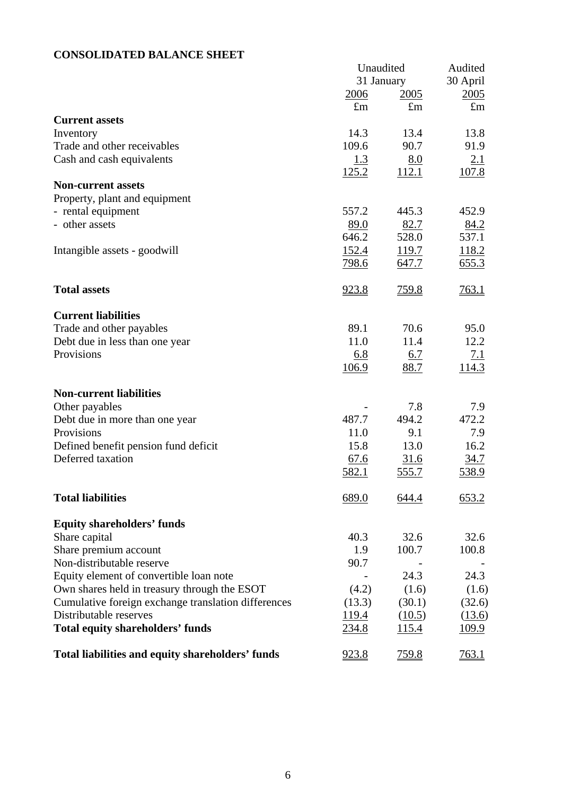# **CONSOLIDATED BALANCE SHEET**

|                                                     | Unaudited<br>31 January |               | Audited       |  |
|-----------------------------------------------------|-------------------------|---------------|---------------|--|
|                                                     |                         |               | 30 April      |  |
|                                                     | <u>2006</u>             | 2005          | 2005          |  |
|                                                     | $\pounds$ m             | $\pounds$ m   | $\pounds$ m   |  |
| <b>Current assets</b>                               |                         |               |               |  |
| Inventory                                           | 14.3<br>109.6           | 13.4          | 13.8          |  |
| Trade and other receivables                         |                         | 90.7          | 91.9          |  |
| Cash and cash equivalents                           | 1.3                     | 8.0           | 2.1           |  |
| <b>Non-current assets</b>                           | 125.2                   | <u>112.1</u>  | <u>107.8</u>  |  |
|                                                     |                         |               |               |  |
| Property, plant and equipment                       | 557.2                   | 445.3         | 452.9         |  |
| - rental equipment<br>- other assets                |                         |               |               |  |
|                                                     | 89.0<br>646.2           | 82.7<br>528.0 | 84.2<br>537.1 |  |
|                                                     |                         | 119.7         | 118.2         |  |
| Intangible assets - goodwill                        | <u>152.4</u>            |               |               |  |
|                                                     | <u>798.6</u>            | <u>647.7</u>  | 655.3         |  |
| <b>Total assets</b>                                 | <u>923.8</u>            | <u>759.8</u>  | 763.1         |  |
|                                                     |                         |               |               |  |
| <b>Current liabilities</b>                          |                         |               |               |  |
| Trade and other payables                            | 89.1                    | 70.6          | 95.0          |  |
| Debt due in less than one year                      | 11.0                    | 11.4          | 12.2          |  |
| Provisions                                          | 6.8                     | <u>6.7</u>    | <u>7.1</u>    |  |
|                                                     | <u>106.9</u>            | 88.7          | 114.3         |  |
| <b>Non-current liabilities</b>                      |                         |               |               |  |
| Other payables                                      |                         | 7.8           | 7.9           |  |
| Debt due in more than one year                      | 487.7                   | 494.2         | 472.2         |  |
| Provisions                                          | 11.0                    | 9.1           | 7.9           |  |
| Defined benefit pension fund deficit                | 15.8                    | 13.0          | 16.2          |  |
| Deferred taxation                                   | 67.6                    | 31.6          | 34.7          |  |
|                                                     | 582.1                   | <u>555.7</u>  | 538.9         |  |
| <b>Total liabilities</b>                            | 689.0                   | 644.4         | 653.2         |  |
| <b>Equity shareholders' funds</b>                   |                         |               |               |  |
| Share capital                                       | 40.3                    | 32.6          | 32.6          |  |
| Share premium account                               | 1.9                     | 100.7         | 100.8         |  |
| Non-distributable reserve                           | 90.7                    |               |               |  |
| Equity element of convertible loan note             |                         | 24.3          | 24.3          |  |
| Own shares held in treasury through the ESOT        | (4.2)                   | (1.6)         | (1.6)         |  |
| Cumulative foreign exchange translation differences | (13.3)                  | (30.1)        | (32.6)        |  |
| Distributable reserves                              | <u>119.4</u>            | (10.5)        | (13.6)        |  |
| <b>Total equity shareholders' funds</b>             | 234.8                   | <u>115.4</u>  | <u>109.9</u>  |  |
| Total liabilities and equity shareholders' funds    | 923.8                   | 759.8         | <u>763.1</u>  |  |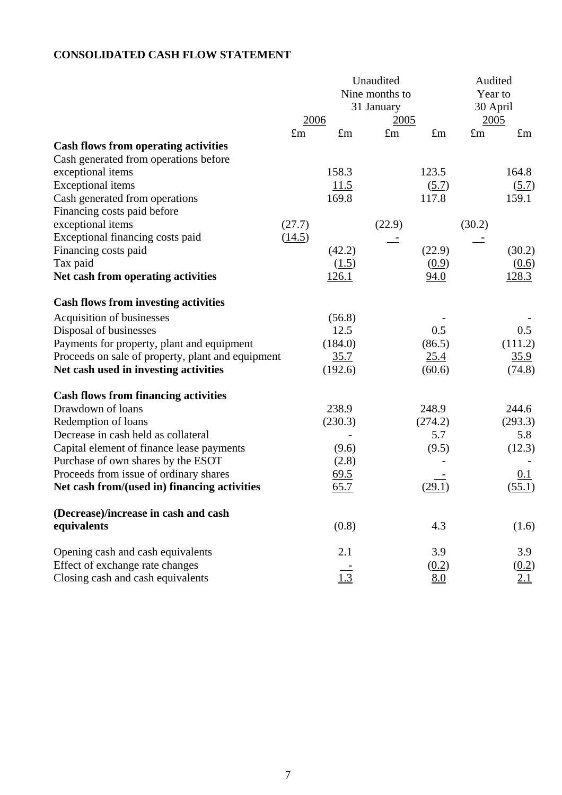# **CONSOLIDATED CASH FLOW STATEMENT**

|                                                   |             |              | Unaudited      |             | Audited     |             |
|---------------------------------------------------|-------------|--------------|----------------|-------------|-------------|-------------|
|                                                   |             |              | Nine months to |             | Year to     |             |
|                                                   |             |              | 31 January     |             | 30 April    |             |
|                                                   | 2006        |              | 2005           |             | 2005        |             |
|                                                   | $\pounds$ m | $\pounds$ m  | $\pounds$ m    | $\pounds$ m | $\pounds$ m | $\pounds$ m |
| <b>Cash flows from operating activities</b>       |             |              |                |             |             |             |
| Cash generated from operations before             |             |              |                |             |             |             |
| exceptional items                                 |             | 158.3        |                | 123.5       |             | 164.8       |
| <b>Exceptional</b> items                          |             | 11.5         |                | (5.7)       |             | (5.7)       |
| Cash generated from operations                    |             | 169.8        |                | 117.8       |             | 159.1       |
| Financing costs paid before                       |             |              |                |             |             |             |
| exceptional items                                 | (27.7)      |              | (22.9)         |             | (30.2)      |             |
| Exceptional financing costs paid                  | (14.5)      |              |                |             |             |             |
| Financing costs paid                              |             | (42.2)       |                | (22.9)      |             | (30.2)      |
| Tax paid                                          |             | (1.5)        |                | (0.9)       |             | (0.6)       |
| Net cash from operating activities                |             | <u>126.1</u> |                | 94.0        |             | 128.3       |
|                                                   |             |              |                |             |             |             |
| <b>Cash flows from investing activities</b>       |             |              |                |             |             |             |
| Acquisition of businesses                         |             | (56.8)       |                |             |             |             |
| Disposal of businesses                            |             | 12.5         |                | 0.5         |             | 0.5         |
| Payments for property, plant and equipment        |             | (184.0)      |                | (86.5)      |             | (111.2)     |
| Proceeds on sale of property, plant and equipment |             | 35.7         |                | 25.4        |             | 35.9        |
| Net cash used in investing activities             |             | (192.6)      |                | (60.6)      |             | (74.8)      |
|                                                   |             |              |                |             |             |             |
| <b>Cash flows from financing activities</b>       |             |              |                |             |             |             |
| Drawdown of loans                                 |             | 238.9        |                | 248.9       |             | 244.6       |
| Redemption of loans                               |             | (230.3)      |                | (274.2)     |             | (293.3)     |
| Decrease in cash held as collateral               |             |              |                | 5.7         |             | 5.8         |
| Capital element of finance lease payments         |             | (9.6)        |                | (9.5)       |             | (12.3)      |
| Purchase of own shares by the ESOT                |             | (2.8)        |                |             |             |             |
| Proceeds from issue of ordinary shares            |             | 69.5         |                |             |             | 0.1         |
| Net cash from/(used in) financing activities      |             | 65.7         |                | (29.1)      |             | (55.1)      |
|                                                   |             |              |                |             |             |             |
| (Decrease)/increase in cash and cash              |             |              |                |             |             |             |
| equivalents                                       |             | (0.8)        |                | 4.3         |             | (1.6)       |
|                                                   |             |              |                |             |             |             |
| Opening cash and cash equivalents                 |             | 2.1          |                | 3.9         |             | 3.9         |
| Effect of exchange rate changes                   |             |              |                | (0.2)       |             | (0.2)       |
| Closing cash and cash equivalents                 |             | 1.3          |                | 8.0         |             | 21          |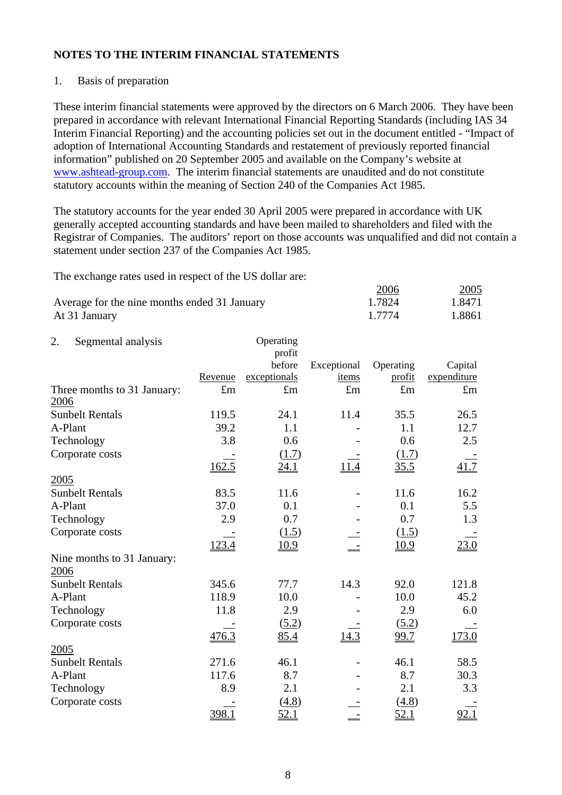# 1. Basis of preparation

These interim financial statements were approved by the directors on 6 March 2006. They have been prepared in accordance with relevant International Financial Reporting Standards (including IAS 34 Interim Financial Reporting) and the accounting policies set out in the document entitled - "Impact of adoption of International Accounting Standards and restatement of previously reported financial information" published on 20 September 2005 and available on the Company's website at [www.ashtead-group.com](http://www.ashtead-group.com/). The interim financial statements are unaudited and do not constitute statutory accounts within the meaning of Section 240 of the Companies Act 1985.

The statutory accounts for the year ended 30 April 2005 were prepared in accordance with UK generally accepted accounting standards and have been mailed to shareholders and filed with the Registrar of Companies. The auditors' report on those accounts was unqualified and did not contain a statement under section 237 of the Companies Act 1985.

The exchange rates used in respect of the US dollar are:

|                                              | <u>2006</u> | 2005   |
|----------------------------------------------|-------------|--------|
| Average for the nine months ended 31 January | 1.7824      | 1.8471 |
| At 31 January                                | 1 7774      | 1.8861 |

| 2.      | Segmental analysis          |             | Operating    |             |             |             |
|---------|-----------------------------|-------------|--------------|-------------|-------------|-------------|
|         |                             |             | profit       |             |             |             |
|         |                             |             | before       | Exceptional | Operating   | Capital     |
|         |                             | Revenue     | exceptionals | items       | profit      | expenditure |
| 2006    | Three months to 31 January: | $\pounds$ m | $\pounds$ m  | $\pounds$ m | $\pounds$ m | $\pounds$ m |
|         | <b>Sunbelt Rentals</b>      | 119.5       | 24.1         | 11.4        | 35.5        | 26.5        |
| A-Plant |                             | 39.2        | 1.1          |             | 1.1         | 12.7        |
|         | Technology                  | 3.8         | 0.6          |             | 0.6         | 2.5         |
|         | Corporate costs             |             | (1.7)        |             | (1.7)       |             |
|         |                             | 162.5       | 24.1         |             | 35.5        | 41.7        |
| 2005    |                             |             |              |             |             |             |
|         | <b>Sunbelt Rentals</b>      | 83.5        | 11.6         |             | 11.6        | 16.2        |
| A-Plant |                             | 37.0        | 0.1          |             | 0.1         | 5.5         |
|         | Technology                  | 2.9         | 0.7          |             | 0.7         | 1.3         |
|         | Corporate costs             |             | (1.5)        |             | (1.5)       |             |
|         |                             | 123.4       | <u>10.9</u>  |             | <u>10.9</u> | 23.0        |
|         | Nine months to 31 January:  |             |              |             |             |             |
| 2006    |                             |             |              |             |             |             |
|         | <b>Sunbelt Rentals</b>      | 345.6       | 77.7         | 14.3        | 92.0        | 121.8       |
| A-Plant |                             | 118.9       | 10.0         |             | 10.0        | 45.2        |
|         | Technology                  | 11.8        | 2.9          |             | 2.9         | 6.0         |
|         | Corporate costs             |             | (5.2)        |             | (5.2)       |             |
|         |                             | 476.3       | 85.4         | 14.3        | 99.7        | 173.0       |
| 2005    |                             |             |              |             |             |             |
|         | <b>Sunbelt Rentals</b>      | 271.6       | 46.1         |             | 46.1        | 58.5        |
| A-Plant |                             | 117.6       | 8.7          |             | 8.7         | 30.3        |
|         | Technology                  | 8.9         | 2.1          |             | 2.1         | 3.3         |
|         | Corporate costs             |             | (4.8)        |             | (4.8)       |             |
|         |                             | 398.1       | 52.1         |             | 52.1        | 92.1        |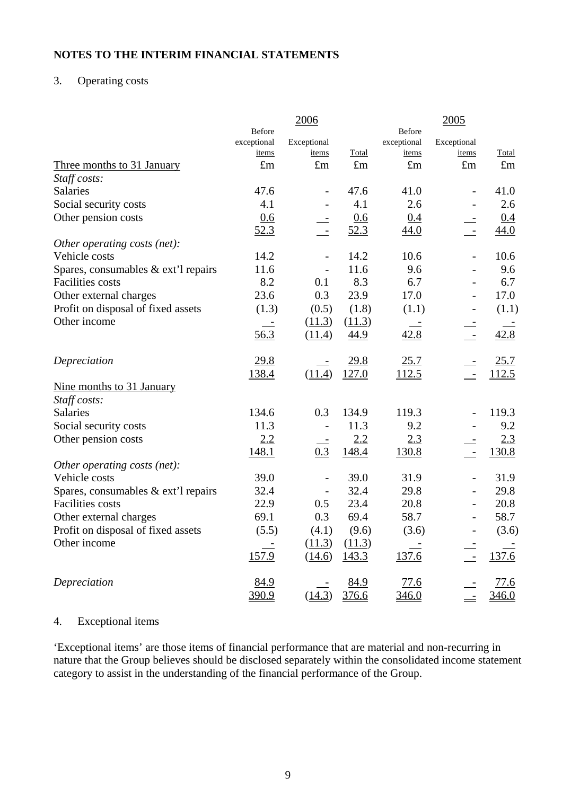# 3. Operating costs

|                                     |             | 2006                     |             |               | 2005                     |             |
|-------------------------------------|-------------|--------------------------|-------------|---------------|--------------------------|-------------|
|                                     | Before      |                          |             | <b>Before</b> |                          |             |
|                                     | exceptional | Exceptional              |             | exceptional   | Exceptional              |             |
|                                     | items       | items                    | Total       | items         | items                    | Total       |
| Three months to 31 January          | $\pounds$ m | $\pounds$ m              | $\pounds$ m | $\pounds$ m   | $\pounds$ m              | $\pounds$ m |
| Staff costs:                        |             |                          |             |               |                          |             |
| <b>Salaries</b>                     | 47.6        | $\overline{a}$           | 47.6        | 41.0          | $\overline{\phantom{a}}$ | 41.0        |
| Social security costs               | 4.1         | $\overline{\phantom{0}}$ | 4.1         | 2.6           | $\overline{\phantom{a}}$ | 2.6         |
| Other pension costs                 | 0.6         |                          | 0.6         | 0.4           |                          | 0.4         |
|                                     | 52.3        | $\overline{z}$           | 52.3        | 44.0          | $\overline{z}$           | 44.0        |
| Other operating costs (net):        |             |                          |             |               |                          |             |
| Vehicle costs                       | 14.2        |                          | 14.2        | 10.6          |                          | 10.6        |
| Spares, consumables & ext'l repairs | 11.6        |                          | 11.6        | 9.6           | $\blacksquare$           | 9.6         |
| <b>Facilities</b> costs             | 8.2         | 0.1                      | 8.3         | 6.7           | $\overline{\phantom{a}}$ | 6.7         |
| Other external charges              | 23.6        | 0.3                      | 23.9        | 17.0          | $\blacksquare$           | 17.0        |
| Profit on disposal of fixed assets  | (1.3)       | (0.5)                    | (1.8)       | (1.1)         | $\overline{\phantom{a}}$ | (1.1)       |
| Other income                        |             | (11.3)                   | (11.3)      |               |                          |             |
|                                     | 56.3        | (11.4)                   | 44.9        | 42.8          | $\overline{\phantom{a}}$ | 42.8        |
| Depreciation                        | 29.8        |                          | 29.8        | 25.7          |                          | 25.7        |
|                                     | 138.4       | (11.4)                   | 127.0       | 112.5         | $\frac{1}{2}$            | 112.5       |
| Nine months to 31 January           |             |                          |             |               |                          |             |
| Staff costs:                        |             |                          |             |               |                          |             |
| <b>Salaries</b>                     | 134.6       | 0.3                      | 134.9       | 119.3         |                          | 119.3       |
| Social security costs               | 11.3        |                          | 11.3        | 9.2           |                          | 9.2         |
| Other pension costs                 | 2.2         |                          | 2.2         | 2.3           |                          | 2.3         |
|                                     | 148.1       | 0.3                      | 148.4       | 130.8         | $\overline{\phantom{a}}$ | 130.8       |
| Other operating costs (net):        |             |                          |             |               |                          |             |
| Vehicle costs                       | 39.0        | $\overline{a}$           | 39.0        | 31.9          |                          | 31.9        |
| Spares, consumables & ext'l repairs | 32.4        |                          | 32.4        | 29.8          | $\overline{\phantom{a}}$ | 29.8        |
| <b>Facilities</b> costs             | 22.9        | 0.5                      | 23.4        | 20.8          | $\frac{1}{2}$            | 20.8        |
| Other external charges              | 69.1        | 0.3                      | 69.4        | 58.7          | $\frac{1}{2}$            | 58.7        |
| Profit on disposal of fixed assets  | (5.5)       | (4.1)                    | (9.6)       | (3.6)         | $\blacksquare$           | (3.6)       |
| Other income                        |             | (11.3)                   | (11.3)      |               |                          |             |
|                                     | 157.9       | (14.6)                   | 143.3       | 137.6         | $\sim$                   | 137.6       |
| Depreciation                        | 84.9        |                          | 84.9        | 77.6          |                          | 77.6        |
|                                     | 390.9       | (14.3)                   | 376.6       | 346.0         | $\frac{1}{\sqrt{2}}$     | 346.0       |

### 4. Exceptional items

'Exceptional items' are those items of financial performance that are material and non-recurring in nature that the Group believes should be disclosed separately within the consolidated income statement category to assist in the understanding of the financial performance of the Group.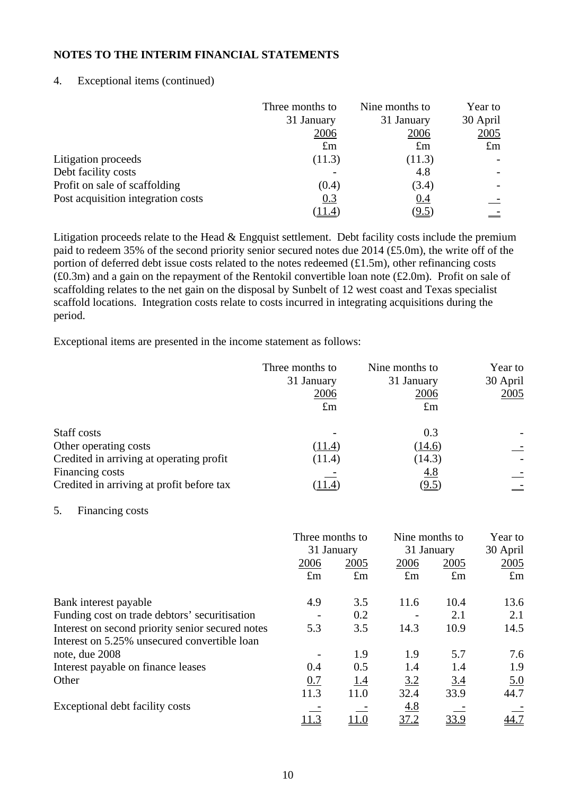### 4. Exceptional items (continued)

|                                    | Three months to | Nine months to | Year to     |
|------------------------------------|-----------------|----------------|-------------|
|                                    | 31 January      | 31 January     | 30 April    |
|                                    | 2006            | 2006           | <u>2005</u> |
|                                    | $\pounds$ m     | $\pounds$ m    | $\pounds$ m |
| Litigation proceeds                | (11.3)          | (11.3)         |             |
| Debt facility costs                |                 | 4.8            |             |
| Profit on sale of scaffolding      | (0.4)           | (3.4)          |             |
| Post acquisition integration costs | 0.3             | 0.4            |             |
|                                    | [11.4]          | (9.5)          |             |

Litigation proceeds relate to the Head & Engquist settlement. Debt facility costs include the premium paid to redeem 35% of the second priority senior secured notes due 2014 (£5.0m), the write off of the portion of deferred debt issue costs related to the notes redeemed (£1.5m), other refinancing costs  $(£0.3m)$  and a gain on the repayment of the Rentokil convertible loan note  $(£2.0m)$ . Profit on sale of scaffolding relates to the net gain on the disposal by Sunbelt of 12 west coast and Texas specialist scaffold locations. Integration costs relate to costs incurred in integrating acquisitions during the period.

Exceptional items are presented in the income statement as follows:

|                                                              | Three months to<br>31 January<br>2006<br>$\pounds$ m | Nine months to<br>31 January<br>2006<br>$\pounds$ m | Year to<br>30 April<br>2005 |
|--------------------------------------------------------------|------------------------------------------------------|-----------------------------------------------------|-----------------------------|
| Staff costs                                                  | ۰                                                    | 0.3                                                 |                             |
| Other operating costs                                        | (11.4)                                               | (14.6)                                              |                             |
| Credited in arriving at operating profit                     | (11.4)                                               | (14.3)                                              |                             |
| Financing costs<br>Credited in arriving at profit before tax |                                                      | 4.8<br><u>(9.5)</u>                                 |                             |

#### 5. Financing costs

|                                                  | Three months to<br>31 January |             |             | Nine months to<br>31 January |             |
|--------------------------------------------------|-------------------------------|-------------|-------------|------------------------------|-------------|
|                                                  | 2006                          | <u>2005</u> | 2006        | <u>2005</u>                  | 2005        |
|                                                  | $\pounds$ m                   | $\pounds$ m | $\pounds$ m | $\pounds$ m                  | $\pounds$ m |
| Bank interest payable                            | 4.9                           | 3.5         | 11.6        | 10.4                         | 13.6        |
| Funding cost on trade debtors' securitisation    |                               | 0.2         |             | 2.1                          | 2.1         |
| Interest on second priority senior secured notes | 5.3                           | 3.5         | 14.3        | 10.9                         | 14.5        |
| Interest on 5.25% unsecured convertible loan     |                               |             |             |                              |             |
| note, due 2008                                   |                               | 1.9         | 1.9         | 5.7                          | 7.6         |
| Interest payable on finance leases               | 0.4                           | 0.5         | 1.4         | 1.4                          | 1.9         |
| Other                                            | 0.7                           | <u>1.4</u>  | 3.2         | 3.4                          | <u>5.0</u>  |
|                                                  | 11.3                          | 11.0        | 32.4        | 33.9                         | 44.7        |
| Exceptional debt facility costs                  |                               |             | 4.8         |                              |             |
|                                                  | 11.3                          | 11.0        | 37.2        | 33.9                         | 44.7        |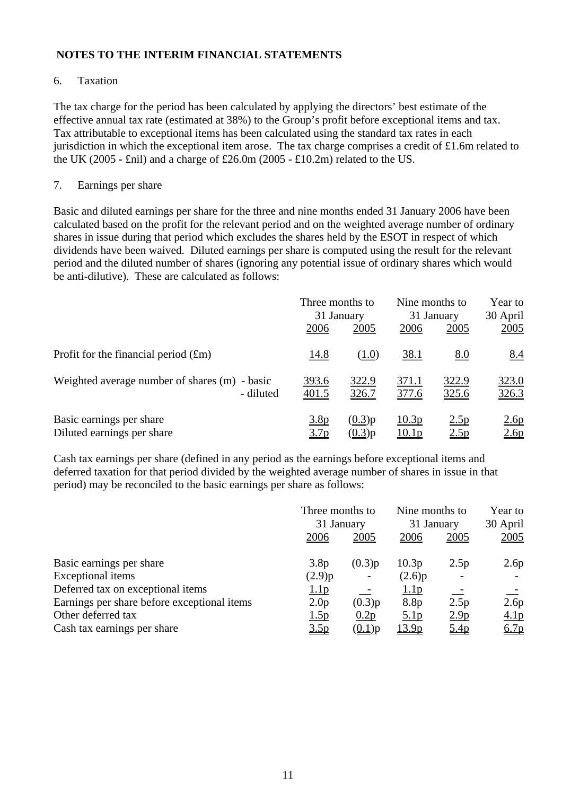# 6. Taxation

The tax charge for the period has been calculated by applying the directors' best estimate of the effective annual tax rate (estimated at 38%) to the Group's profit before exceptional items and tax. Tax attributable to exceptional items has been calculated using the standard tax rates in each jurisdiction in which the exceptional item arose. The tax charge comprises a credit of £1.6m related to the UK (2005 - £nil) and a charge of £26.0m (2005 - £10.2m) related to the US.

# 7. Earnings per share

Basic and diluted earnings per share for the three and nine months ended 31 January 2006 have been calculated based on the profit for the relevant period and on the weighted average number of ordinary shares in issue during that period which excludes the shares held by the ESOT in respect of which dividends have been waived. Diluted earnings per share is computed using the result for the relevant period and the diluted number of shares (ignoring any potential issue of ordinary shares which would be anti-dilutive). These are calculated as follows:

|                                               | Three months to<br>2006 | 31 January<br>2005 | Nine months to<br>31 January<br>2006<br>2005 |            | Year to<br>30 April<br>2005 |  |
|-----------------------------------------------|-------------------------|--------------------|----------------------------------------------|------------|-----------------------------|--|
| Profit for the financial period $(fm)$        | <u>14.8</u>             | ( <u>1.0</u> )     | <u>38.1</u>                                  | <u>8.0</u> | 8.4                         |  |
| Weighted average number of shares (m) - basic | <u>393.6</u>            | 322.9              | <u>371.1</u>                                 | 322.9      | 323.0                       |  |
| - diluted                                     | 401.5                   | 326.7              | 377.6                                        | 325.6      | 326.3                       |  |
| Basic earnings per share                      | 3.8p                    | (0.3)p             | 10.3p                                        | 2.5p       | 2.6p                        |  |
| Diluted earnings per share                    | 3.7 <sub>p</sub>        | (0.3)p             | 10.1 <sub>p</sub>                            | 2.5p       | 2.6p                        |  |

Cash tax earnings per share (defined in any period as the earnings before exceptional items and deferred taxation for that period divided by the weighted average number of shares in issue in that period) may be reconciled to the basic earnings per share as follows:

|                                             | Three months to<br>31 January |            | Nine months to<br>31 January |                  | Year to<br>30 April |
|---------------------------------------------|-------------------------------|------------|------------------------------|------------------|---------------------|
|                                             | 2006                          | 2005       | 2006                         | 2005             | 2005                |
| Basic earnings per share                    | 3.8p                          | (0.3)p     | 10.3p                        | 2.5p             | 2.6p                |
| Exceptional items                           | (2.9)p                        |            | (2.6)p                       |                  |                     |
| Deferred tax on exceptional items           | 1.1 <sub>p</sub>              | $\sim$ $-$ | 1.1 <sub>p</sub>             | 二                |                     |
| Earnings per share before exceptional items | 2.0 <sub>p</sub>              | (0.3)p     | 8.8p                         | 2.5p             | 2.6p                |
| Other deferred tax                          | 1.5p                          | 0.2p       | 5.1 <sub>p</sub>             | 2.9 <sub>p</sub> | 4.1 <sub>p</sub>    |
| Cash tax earnings per share                 | <u>3.5p</u>                   | $(0.1)$ p  | <u>13.9p</u>                 | 5.4p             | 6.7p                |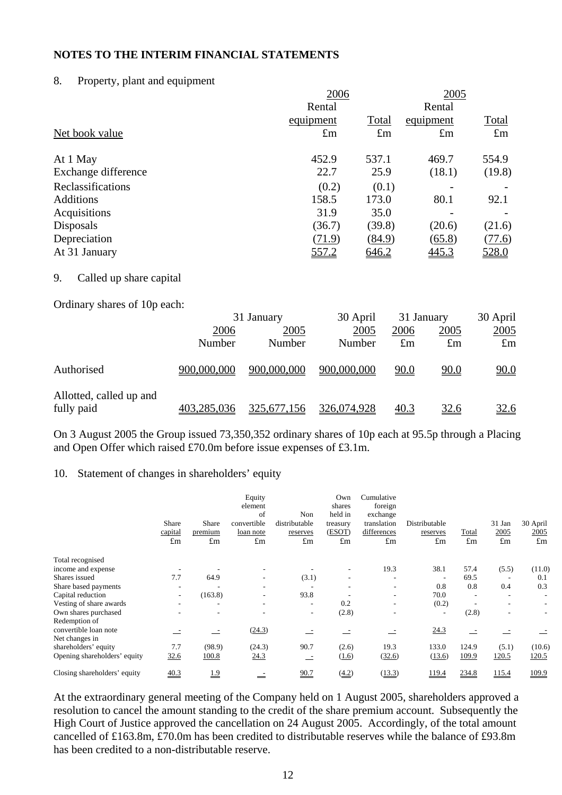#### 8. Property, plant and equipment

|                     | 2006        | 2005        |             |              |
|---------------------|-------------|-------------|-------------|--------------|
|                     | Rental      |             | Rental      |              |
|                     | equipment   | Total       | equipment   | <b>Total</b> |
| Net book value      | $\pounds$ m | $\pounds$ m | $\pounds$ m | $\pounds$ m  |
| At 1 May            | 452.9       | 537.1       | 469.7       | 554.9        |
| Exchange difference | 22.7        | 25.9        | (18.1)      | (19.8)       |
| Reclassifications   | (0.2)       | (0.1)       |             |              |
| <b>Additions</b>    | 158.5       | 173.0       | 80.1        | 92.1         |
| Acquisitions        | 31.9        | 35.0        |             |              |
| Disposals           | (36.7)      | (39.8)      | (20.6)      | (21.6)       |
| Depreciation        | (71.9)      | (84.9)      | (65.8)      | (77.6)       |
| At 31 January       | 557.2       | 646.2       | 445.3       | 528.0        |
|                     |             |             |             |              |

### 9. Called up share capital

Ordinary shares of 10p each:

|                                       | 31 January  |             | 30 April    | 31 January  |             | 30 April    |  |
|---------------------------------------|-------------|-------------|-------------|-------------|-------------|-------------|--|
|                                       | 2006        | 2005        | 2005        | 2006        | 2005        | 2005        |  |
|                                       | Number      | Number      | Number      | $\pounds$ m | $\pounds$ m | $\pounds$ m |  |
| Authorised                            | 900,000,000 | 900,000,000 | 900,000,000 | 90.0        | 90.0        | 90.0        |  |
| Allotted, called up and<br>fully paid | 403,285,036 | 325,677,156 | 326,074,928 | 40.3        | <u>32.6</u> | <u>32.6</u> |  |

On 3 August 2005 the Group issued 73,350,352 ordinary shares of 10p each at 95.5p through a Placing and Open Offer which raised £70.0m before issue expenses of £3.1m.

### 10. Statement of changes in shareholders' equity

|                                        | <b>Share</b><br>capital<br>$\pounds$ m | Share<br>premium<br>$\pounds$ m | Equity<br>element<br>of<br>convertible<br>loan note<br>$\pounds$ m | Non<br>distributable<br>reserves<br>$\pounds$ m | Own<br>shares<br>held in<br>treasury<br>(ESOT)<br>$\pounds$ m | Cumulative<br>foreign<br>exchange<br>translation<br>differences<br>$\pounds$ m | Distributable<br>reserves<br>$\pounds$ m | Total<br>$\pounds$ m | 31 Jan<br>2005<br>$\pounds$ m | 30 April<br>2005<br>$\pounds$ m |
|----------------------------------------|----------------------------------------|---------------------------------|--------------------------------------------------------------------|-------------------------------------------------|---------------------------------------------------------------|--------------------------------------------------------------------------------|------------------------------------------|----------------------|-------------------------------|---------------------------------|
| Total recognised                       |                                        |                                 |                                                                    |                                                 |                                                               |                                                                                |                                          |                      |                               |                                 |
| income and expense                     |                                        |                                 |                                                                    |                                                 | ٠                                                             | 19.3                                                                           | 38.1                                     | 57.4                 | (5.5)                         | (11.0)                          |
| Shares issued                          | 7.7                                    | 64.9                            |                                                                    | (3.1)                                           |                                                               |                                                                                |                                          | 69.5                 |                               | 0.1                             |
| Share based payments                   |                                        |                                 |                                                                    |                                                 |                                                               | ۰                                                                              | 0.8                                      | 0.8                  | 0.4                           | 0.3                             |
| Capital reduction                      |                                        | (163.8)                         |                                                                    | 93.8                                            |                                                               | ۰                                                                              | 70.0                                     |                      |                               | ٠                               |
| Vesting of share awards                |                                        |                                 |                                                                    | ۰                                               | 0.2                                                           | ۰                                                                              | (0.2)                                    |                      |                               |                                 |
| Own shares purchased                   |                                        | ۰                               |                                                                    | ۰.                                              | (2.8)                                                         | ۰                                                                              |                                          | (2.8)                |                               | ٠                               |
| Redemption of<br>convertible loan note |                                        | $\overline{\phantom{a}}$        | (24.3)                                                             |                                                 |                                                               |                                                                                | 24.3                                     |                      |                               |                                 |
| Net changes in                         |                                        |                                 |                                                                    |                                                 |                                                               |                                                                                |                                          |                      |                               |                                 |
| shareholders' equity                   | 7.7                                    | (98.9)                          | (24.3)                                                             | 90.7                                            | (2.6)                                                         | 19.3                                                                           | 133.0                                    | 124.9                | (5.1)                         | (10.6)                          |
| Opening shareholders' equity           | 32.6                                   | 100.8                           | 24.3                                                               | $-$                                             | (1.6)                                                         | (32.6)                                                                         | (13.6)                                   | 109.9                | 120.5                         | 120.5                           |
| Closing shareholders' equity           | 40.3                                   | <u>1.9</u>                      | $=$                                                                | 90.7                                            | (4.2)                                                         | (13.3)                                                                         | 119.4                                    | 234.8                | 115.4                         | 109.9                           |

At the extraordinary general meeting of the Company held on 1 August 2005, shareholders approved a resolution to cancel the amount standing to the credit of the share premium account. Subsequently the High Court of Justice approved the cancellation on 24 August 2005. Accordingly, of the total amount cancelled of £163.8m, £70.0m has been credited to distributable reserves while the balance of £93.8m has been credited to a non-distributable reserve.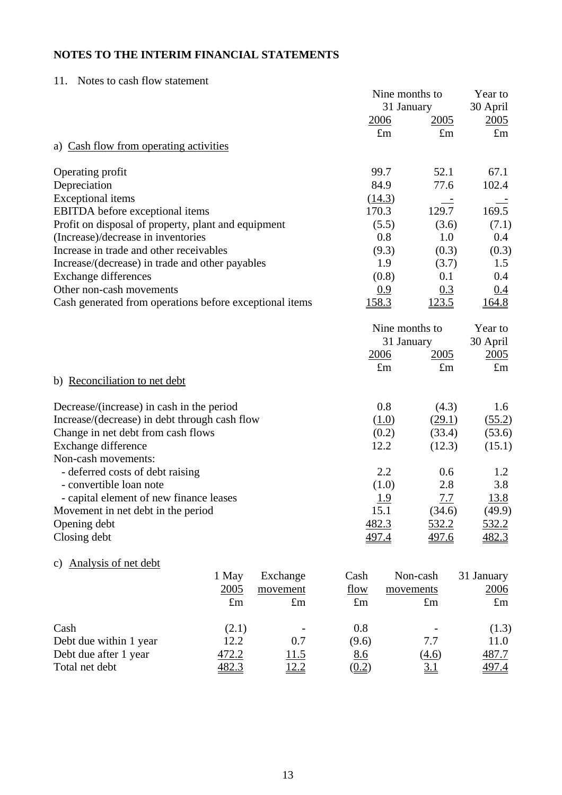# 11. Notes to cash flow statement

|                                                         |             |             |                     | Nine months to |              | Year to      |
|---------------------------------------------------------|-------------|-------------|---------------------|----------------|--------------|--------------|
|                                                         |             |             |                     | 31 January     |              | 30 April     |
|                                                         |             |             | <u>2006</u>         |                | <u>2005</u>  | 2005         |
|                                                         |             |             |                     | $\pounds$ m    | $\pounds$ m  | $\pounds$ m  |
| a) Cash flow from operating activities                  |             |             |                     |                |              |              |
| Operating profit                                        |             |             | 99.7                |                | 52.1         | 67.1         |
| Depreciation                                            |             |             | 84.9                |                | 77.6         | 102.4        |
| <b>Exceptional</b> items                                |             |             | (14.3)              |                |              |              |
| <b>EBITDA</b> before exceptional items                  |             |             | 170.3               |                | 129.7        | 169.5        |
| Profit on disposal of property, plant and equipment     |             |             |                     | (5.5)          | (3.6)        | (7.1)        |
| (Increase)/decrease in inventories                      |             |             |                     | 0.8            | 1.0          | 0.4          |
| Increase in trade and other receivables                 |             |             |                     | (9.3)          | (0.3)        | (0.3)        |
| Increase/(decrease) in trade and other payables         |             |             |                     | 1.9            | (3.7)        | 1.5          |
| <b>Exchange differences</b>                             |             |             |                     | (0.8)          | 0.1          | 0.4          |
| Other non-cash movements                                |             |             |                     | 0.9            | 0.3          | 0.4          |
| Cash generated from operations before exceptional items |             |             | <u>158.3</u>        |                | <u>123.5</u> | <u>164.8</u> |
|                                                         |             |             |                     | Nine months to |              | Year to      |
|                                                         |             |             |                     | 31 January     |              | 30 April     |
|                                                         |             |             | 2006                |                | <u>2005</u>  | 2005         |
|                                                         |             |             |                     | $\pounds$ m    | $\pounds$ m  | $\pounds$ m  |
| b) Reconciliation to net debt                           |             |             |                     |                |              |              |
| Decrease/(increase) in cash in the period               |             |             |                     | 0.8            | (4.3)        | 1.6          |
| Increase/(decrease) in debt through cash flow           |             |             |                     | (1.0)          | (29.1)       | (55.2)       |
| Change in net debt from cash flows                      |             |             |                     | (0.2)          | (33.4)       | (53.6)       |
| Exchange difference                                     |             |             | 12.2                |                | (12.3)       | (15.1)       |
| Non-cash movements:                                     |             |             |                     |                |              |              |
| - deferred costs of debt raising                        |             |             |                     | 2.2            | 0.6          | 1.2          |
| - convertible loan note                                 |             |             |                     | (1.0)          | 2.8          | 3.8          |
| - capital element of new finance leases                 |             |             |                     | <u>1.9</u>     | 7.7          | <u>13.8</u>  |
| Movement in net debt in the period                      |             |             | 15.1                |                | (34.6)       | (49.9)       |
| Opening debt                                            |             |             | 482.3               |                | 532.2        | <u>532.2</u> |
| Closing debt                                            |             |             | 497.4               |                | 497.6        | 482.3        |
| Analysis of net debt<br>C)                              |             |             |                     |                |              |              |
|                                                         | 1 May       | Exchange    | Cash                | Non-cash       |              | 31 January   |
|                                                         | 2005        | movement    | flow                | movements      |              | <u>2006</u>  |
|                                                         | $\pounds$ m | $\pounds$ m | $\pounds$ m         |                | $\pounds$ m  | $\pounds$ m  |
| Cash                                                    | (2.1)       |             | 0.8                 |                |              | (1.3)        |
| Debt due within 1 year                                  | 12.2        | 0.7         | (9.6)               |                | 7.7          | 11.0         |
| Debt due after 1 year                                   | 472.2       | 11.5        | 8.6                 |                | (4.6)        | 487.7        |
| Total net debt                                          | 482.3       | <u>12.2</u> | $\underline{(0.2)}$ |                | <u>3.1</u>   | 497.4        |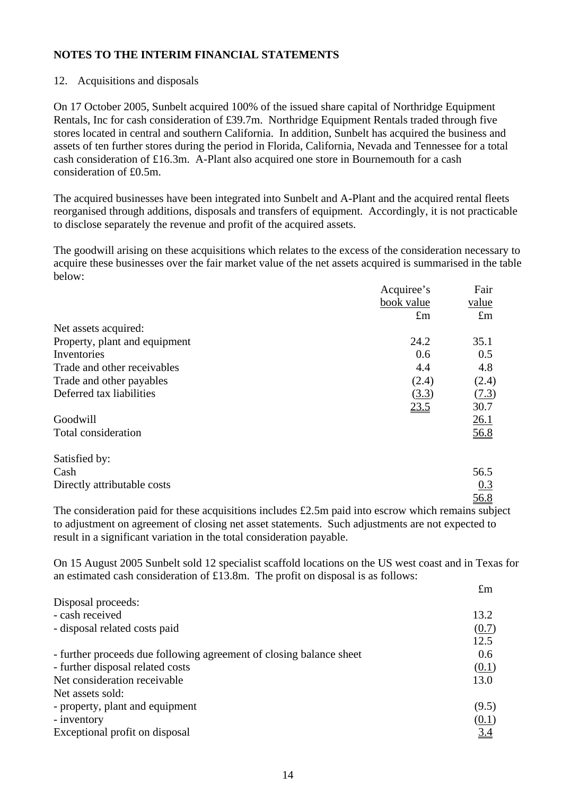### 12. Acquisitions and disposals

On 17 October 2005, Sunbelt acquired 100% of the issued share capital of Northridge Equipment Rentals, Inc for cash consideration of £39.7m. Northridge Equipment Rentals traded through five stores located in central and southern California. In addition, Sunbelt has acquired the business and assets of ten further stores during the period in Florida, California, Nevada and Tennessee for a total cash consideration of £16.3m. A-Plant also acquired one store in Bournemouth for a cash consideration of £0.5m.

The acquired businesses have been integrated into Sunbelt and A-Plant and the acquired rental fleets reorganised through additions, disposals and transfers of equipment. Accordingly, it is not practicable to disclose separately the revenue and profit of the acquired assets.

The goodwill arising on these acquisitions which relates to the excess of the consideration necessary to acquire these businesses over the fair market value of the net assets acquired is summarised in the table below:

|                               | Acquiree's  | Fair        |
|-------------------------------|-------------|-------------|
|                               | book value  | value       |
|                               | $\pounds$ m | $\pounds$ m |
| Net assets acquired:          |             |             |
| Property, plant and equipment | 24.2        | 35.1        |
| Inventories                   | 0.6         | 0.5         |
| Trade and other receivables   | 4.4         | 4.8         |
| Trade and other payables      | (2.4)       | (2.4)       |
| Deferred tax liabilities      | (3.3)       | (7.3)       |
|                               | 23.5        | 30.7        |
| Goodwill                      |             | 26.1        |
| Total consideration           |             | 56.8        |
| Satisfied by:                 |             |             |
| Cash                          |             | 56.5        |
| Directly attributable costs   |             | 0.3         |
|                               |             | 56.8        |

The consideration paid for these acquisitions includes £2.5m paid into escrow which remains subject to adjustment on agreement of closing net asset statements. Such adjustments are not expected to result in a significant variation in the total consideration payable.

On 15 August 2005 Sunbelt sold 12 specialist scaffold locations on the US west coast and in Texas for an estimated cash consideration of £13.8m. The profit on disposal is as follows: £m

| கப்ப              |
|-------------------|
|                   |
| 13.2              |
| (0.7)             |
| 12.5              |
| 0.6               |
| (0.1)             |
| 13.0              |
|                   |
| (9.5)             |
| (0.1)             |
| $\underline{3.4}$ |
|                   |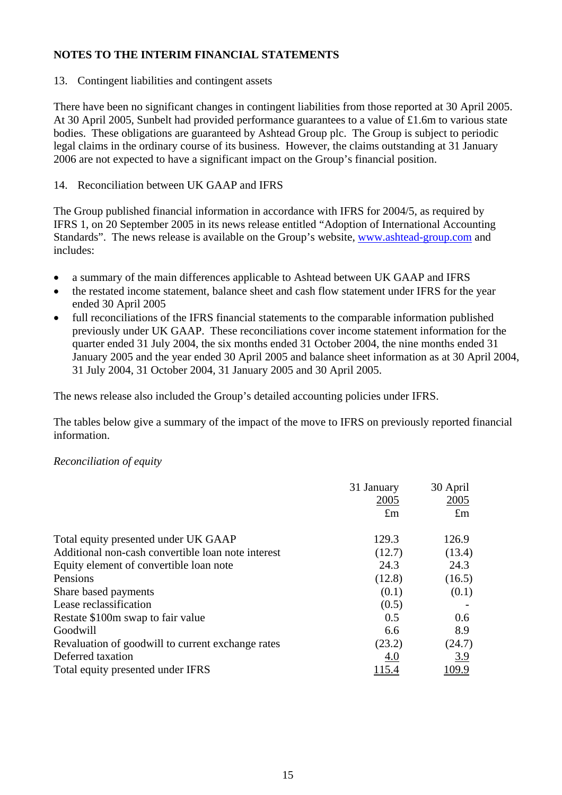13. Contingent liabilities and contingent assets

There have been no significant changes in contingent liabilities from those reported at 30 April 2005. At 30 April 2005, Sunbelt had provided performance guarantees to a value of £1.6m to various state bodies. These obligations are guaranteed by Ashtead Group plc. The Group is subject to periodic legal claims in the ordinary course of its business. However, the claims outstanding at 31 January 2006 are not expected to have a significant impact on the Group's financial position.

# 14. Reconciliation between UK GAAP and IFRS

The Group published financial information in accordance with IFRS for 2004/5, as required by IFRS 1, on 20 September 2005 in its news release entitled "Adoption of International Accounting Standards". The news release is available on the Group's website, [www.ashtead-group.com](http://www.ashtead-group.com/) and includes:

- a summary of the main differences applicable to Ashtead between UK GAAP and IFRS
- the restated income statement, balance sheet and cash flow statement under IFRS for the year ended 30 April 2005
- full reconciliations of the IFRS financial statements to the comparable information published previously under UK GAAP. These reconciliations cover income statement information for the quarter ended 31 July 2004, the six months ended 31 October 2004, the nine months ended 31 January 2005 and the year ended 30 April 2005 and balance sheet information as at 30 April 2004, 31 July 2004, 31 October 2004, 31 January 2005 and 30 April 2005.

The news release also included the Group's detailed accounting policies under IFRS.

The tables below give a summary of the impact of the move to IFRS on previously reported financial information.

# *Reconciliation of equity*

|                                                    | 31 January   | 30 April    |
|----------------------------------------------------|--------------|-------------|
|                                                    | 2005         | 2005        |
|                                                    | $\pounds$ m  | $\pounds$ m |
| Total equity presented under UK GAAP               | 129.3        | 126.9       |
| Additional non-cash convertible loan note interest | (12.7)       | (13.4)      |
| Equity element of convertible loan note            | 24.3         | 24.3        |
| Pensions                                           | (12.8)       | (16.5)      |
| Share based payments                               | (0.1)        | (0.1)       |
| Lease reclassification                             | (0.5)        |             |
| Restate \$100m swap to fair value                  | 0.5          | 0.6         |
| Goodwill                                           | 6.6          | 8.9         |
| Revaluation of goodwill to current exchange rates  | (23.2)       | (24.7)      |
| Deferred taxation                                  | <u>4.0</u>   | 3.9         |
| Total equity presented under IFRS                  | <u>115.4</u> | 109.9       |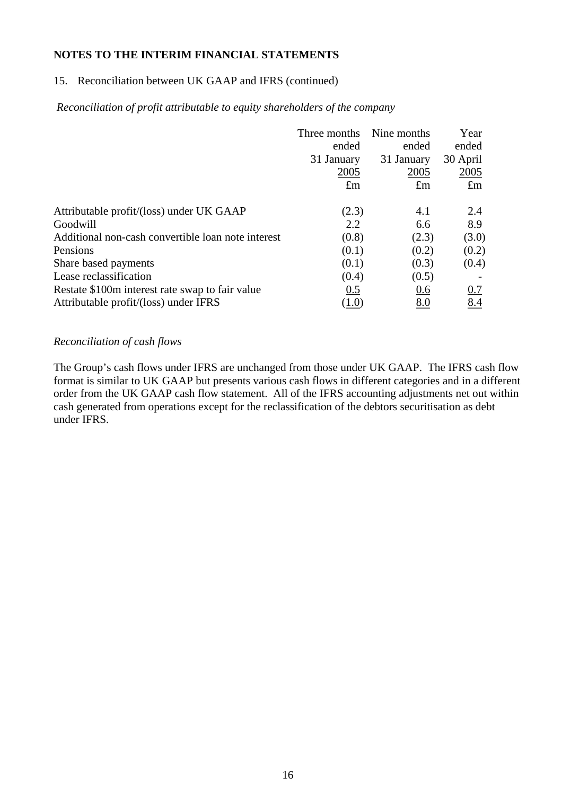# 15. Reconciliation between UK GAAP and IFRS (continued)

### *Reconciliation of profit attributable to equity shareholders of the company*

|                                                    | Three months | Nine months | Year        |
|----------------------------------------------------|--------------|-------------|-------------|
|                                                    | ended        | ended       | ended       |
|                                                    | 31 January   | 31 January  | 30 April    |
|                                                    | 2005         | 2005        | 2005        |
|                                                    | $\pounds$ m  | $\pounds$ m | $\pounds$ m |
| Attributable profit/(loss) under UK GAAP           | (2.3)        | 4.1         | 2.4         |
| Goodwill                                           | 2.2          | 6.6         | 8.9         |
| Additional non-cash convertible loan note interest | (0.8)        | (2.3)       | (3.0)       |
| Pensions                                           | (0.1)        | (0.2)       | (0.2)       |
| Share based payments                               | (0.1)        | (0.3)       | (0.4)       |
| Lease reclassification                             | (0.4)        | (0.5)       |             |
| Restate \$100m interest rate swap to fair value    | 0.5          | 0.6         | 0.7         |
| Attributable profit/(loss) under IFRS              | (1.0)        | 8.0         | 8.4         |

### *Reconciliation of cash flows*

The Group's cash flows under IFRS are unchanged from those under UK GAAP. The IFRS cash flow format is similar to UK GAAP but presents various cash flows in different categories and in a different order from the UK GAAP cash flow statement. All of the IFRS accounting adjustments net out within cash generated from operations except for the reclassification of the debtors securitisation as debt under IFRS.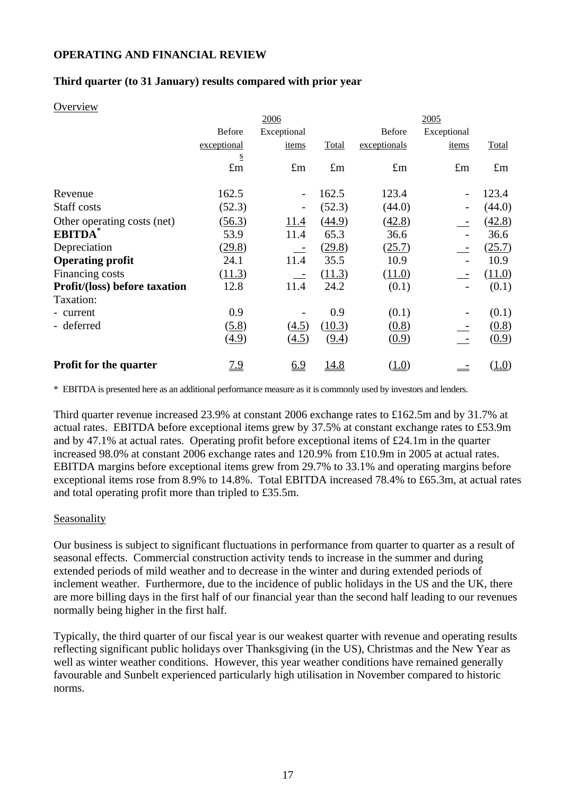### **OPERATING AND FINANCIAL REVIEW**

### **Third quarter (to 31 January) results compared with prior year**

#### **Overview**

|                                      |                            | 2006                     |              |               | 2005        |             |
|--------------------------------------|----------------------------|--------------------------|--------------|---------------|-------------|-------------|
|                                      | <b>Before</b>              | Exceptional              |              | <b>Before</b> | Exceptional |             |
|                                      | exceptional                | items                    | Total        | exceptionals  | items       | Total       |
|                                      | ${\underline{\mathbf{S}}}$ |                          |              |               |             |             |
|                                      | $\pounds$ m                | $\pounds$ m              | $\pounds$ m  | $\pounds$ m   | $\pounds$ m | $\pounds$ m |
| Revenue                              | 162.5                      | $\overline{\phantom{a}}$ | 162.5        | 123.4         |             | 123.4       |
| Staff costs                          | (52.3)                     |                          | (52.3)       | (44.0)        |             | (44.0)      |
| Other operating costs (net)          | (56.3)                     | 11.4                     | (44.9)       | (42.8)        |             | (42.8)      |
| <b>EBITDA</b>                        | 53.9                       | 11.4                     | 65.3         | 36.6          |             | 36.6        |
| Depreciation                         | (29.8)                     |                          | (29.8)       | (25.7)        |             | (25.7)      |
| <b>Operating profit</b>              | 24.1                       | 11.4                     | 35.5         | 10.9          |             | 10.9        |
| Financing costs                      | (11.3)                     |                          | (11.3)       | (11.0)        |             | (11.0)      |
| <b>Profit/(loss) before taxation</b> | 12.8                       | 11.4                     | 24.2         | (0.1)         |             | (0.1)       |
| Taxation:                            |                            |                          |              |               |             |             |
| - current                            | 0.9                        |                          | 0.9          | (0.1)         |             | (0.1)       |
| - deferred                           | (5.8)                      | (4.5)                    | (10.3)       | (0.8)         |             | (0.8)       |
|                                      | (4.9)                      | (4.5)                    | (9.4)        | (0.9)         |             | (0.9)       |
| <b>Profit for the quarter</b>        | <u>7.9</u>                 | 6.9                      | <u> 14.8</u> | (1.0)         |             | (1.0)       |

\* EBITDA is presented here as an additional performance measure as it is commonly used by investors and lenders.

Third quarter revenue increased 23.9% at constant 2006 exchange rates to £162.5m and by 31.7% at actual rates. EBITDA before exceptional items grew by 37.5% at constant exchange rates to £53.9m and by 47.1% at actual rates. Operating profit before exceptional items of £24.1m in the quarter increased 98.0% at constant 2006 exchange rates and 120.9% from £10.9m in 2005 at actual rates. EBITDA margins before exceptional items grew from 29.7% to 33.1% and operating margins before exceptional items rose from 8.9% to 14.8%. Total EBITDA increased 78.4% to £65.3m, at actual rates and total operating profit more than tripled to £35.5m.

### Seasonality

Our business is subject to significant fluctuations in performance from quarter to quarter as a result of seasonal effects. Commercial construction activity tends to increase in the summer and during extended periods of mild weather and to decrease in the winter and during extended periods of inclement weather. Furthermore, due to the incidence of public holidays in the US and the UK, there are more billing days in the first half of our financial year than the second half leading to our revenues normally being higher in the first half.

Typically, the third quarter of our fiscal year is our weakest quarter with revenue and operating results reflecting significant public holidays over Thanksgiving (in the US), Christmas and the New Year as well as winter weather conditions. However, this year weather conditions have remained generally favourable and Sunbelt experienced particularly high utilisation in November compared to historic norms.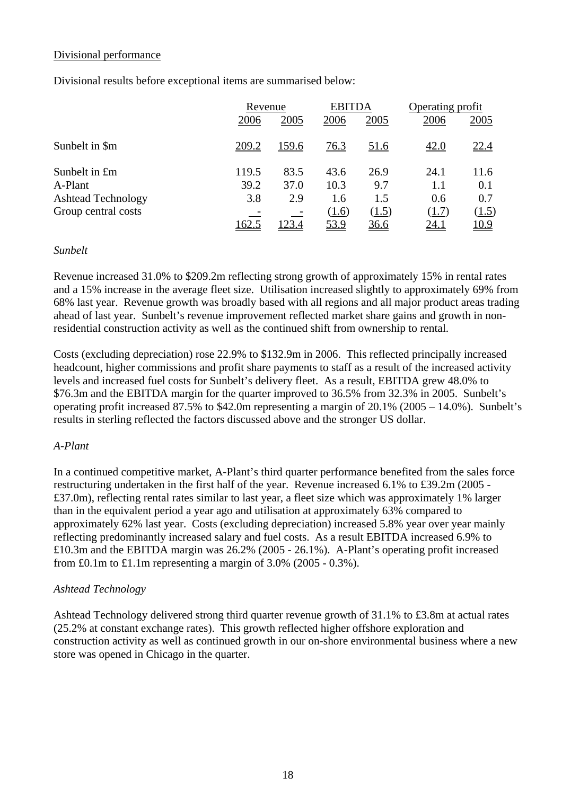### Divisional performance

Divisional results before exceptional items are summarised below:

|                           |       | Revenue |             | <b>EBITDA</b> | Operating profit |              |
|---------------------------|-------|---------|-------------|---------------|------------------|--------------|
|                           | 2006  | 2005    | 2006        | 2005          | 2006             | 2005         |
| Sunbelt in \$m            | 209.2 | 159.6   | <u>76.3</u> | <u>51.6</u>   | <u>42.0</u>      | <u>22.4</u>  |
| Sunbelt in £m             | 119.5 | 83.5    | 43.6        | 26.9          | 24.1             | 11.6         |
| A-Plant                   | 39.2  | 37.0    | 10.3        | 9.7           | 1.1              | 0.1          |
| <b>Ashtead Technology</b> | 3.8   | 2.9     | 1.6         | 1.5           | 0.6              | 0.7          |
| Group central costs       |       |         | (1.6)       | (1.5)         | (1.7)            | (1.5)        |
|                           | 162.5 | 123.4   | 53.9        | <u>36.6</u>   | <u>24.1</u>      | <u> 10.9</u> |

### *Sunbelt*

Revenue increased 31.0% to \$209.2m reflecting strong growth of approximately 15% in rental rates and a 15% increase in the average fleet size. Utilisation increased slightly to approximately 69% from 68% last year. Revenue growth was broadly based with all regions and all major product areas trading ahead of last year. Sunbelt's revenue improvement reflected market share gains and growth in nonresidential construction activity as well as the continued shift from ownership to rental.

Costs (excluding depreciation) rose 22.9% to \$132.9m in 2006. This reflected principally increased headcount, higher commissions and profit share payments to staff as a result of the increased activity levels and increased fuel costs for Sunbelt's delivery fleet. As a result, EBITDA grew 48.0% to \$76.3m and the EBITDA margin for the quarter improved to 36.5% from 32.3% in 2005. Sunbelt's operating profit increased 87.5% to \$42.0m representing a margin of 20.1% (2005 – 14.0%). Sunbelt's results in sterling reflected the factors discussed above and the stronger US dollar.

### *A-Plant*

In a continued competitive market, A-Plant's third quarter performance benefited from the sales force restructuring undertaken in the first half of the year. Revenue increased 6.1% to £39.2m (2005 - £37.0m), reflecting rental rates similar to last year, a fleet size which was approximately 1% larger than in the equivalent period a year ago and utilisation at approximately 63% compared to approximately 62% last year. Costs (excluding depreciation) increased 5.8% year over year mainly reflecting predominantly increased salary and fuel costs. As a result EBITDA increased 6.9% to £10.3m and the EBITDA margin was 26.2% (2005 - 26.1%). A-Plant's operating profit increased from £0.1m to  $\pounds1.1$ m representing a margin of 3.0% (2005 - 0.3%).

### *Ashtead Technology*

Ashtead Technology delivered strong third quarter revenue growth of 31.1% to £3.8m at actual rates (25.2% at constant exchange rates). This growth reflected higher offshore exploration and construction activity as well as continued growth in our on-shore environmental business where a new store was opened in Chicago in the quarter.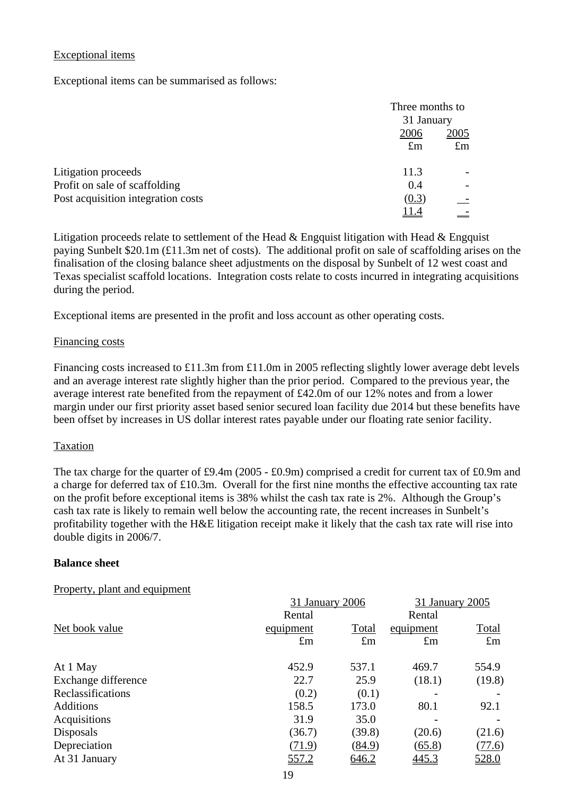## Exceptional items

Exceptional items can be summarised as follows:

|                                    |             | Three months to |  |  |
|------------------------------------|-------------|-----------------|--|--|
|                                    |             | 31 January      |  |  |
|                                    | 2006        | 2005            |  |  |
|                                    | $\pounds$ m | $\pounds$ m     |  |  |
|                                    |             |                 |  |  |
| Litigation proceeds                | 11.3        |                 |  |  |
| Profit on sale of scaffolding      | 0.4         |                 |  |  |
| Post acquisition integration costs | (0.3)       |                 |  |  |
|                                    | 11.4        |                 |  |  |

Litigation proceeds relate to settlement of the Head & Engquist litigation with Head & Engquist paying Sunbelt \$20.1m (£11.3m net of costs). The additional profit on sale of scaffolding arises on the finalisation of the closing balance sheet adjustments on the disposal by Sunbelt of 12 west coast and Texas specialist scaffold locations. Integration costs relate to costs incurred in integrating acquisitions during the period.

Exceptional items are presented in the profit and loss account as other operating costs.

### Financing costs

Financing costs increased to £11.3m from £11.0m in 2005 reflecting slightly lower average debt levels and an average interest rate slightly higher than the prior period. Compared to the previous year, the average interest rate benefited from the repayment of £42.0m of our 12% notes and from a lower margin under our first priority asset based senior secured loan facility due 2014 but these benefits have been offset by increases in US dollar interest rates payable under our floating rate senior facility.

### Taxation

The tax charge for the quarter of £9.4m (2005 - £0.9m) comprised a credit for current tax of £0.9m and a charge for deferred tax of £10.3m. Overall for the first nine months the effective accounting tax rate on the profit before exceptional items is 38% whilst the cash tax rate is 2%. Although the Group's cash tax rate is likely to remain well below the accounting rate, the recent increases in Sunbelt's profitability together with the H&E litigation receipt make it likely that the cash tax rate will rise into double digits in 2006/7.

### **Balance sheet**

### Property, plant and equipment

| 31 January 2006                        | 31 January 2005 |              |  |
|----------------------------------------|-----------------|--------------|--|
| Rental                                 | Rental          |              |  |
| Net book value<br>Total<br>equipment   | equipment       | <b>Total</b> |  |
| $\pounds$ m<br>$\pounds$ m             | $\pounds$ m     | $\pounds$ m  |  |
| 452.9<br>537.1<br>At 1 May             | 469.7           | 554.9        |  |
| Exchange difference<br>22.7<br>25.9    | (18.1)          | (19.8)       |  |
| Reclassifications<br>(0.2)<br>(0.1)    |                 |              |  |
| 158.5<br>173.0<br><b>Additions</b>     | 80.1            | 92.1         |  |
| Acquisitions<br>31.9<br>35.0           |                 |              |  |
| Disposals<br>(36.7)<br>(39.8)          | (20.6)          | (21.6)       |  |
| Depreciation<br>(71.9)<br>(84.9)       | (65.8)          | (77.6)       |  |
| 557.2<br><u>646.2</u><br>At 31 January | 445.3           | 528.0        |  |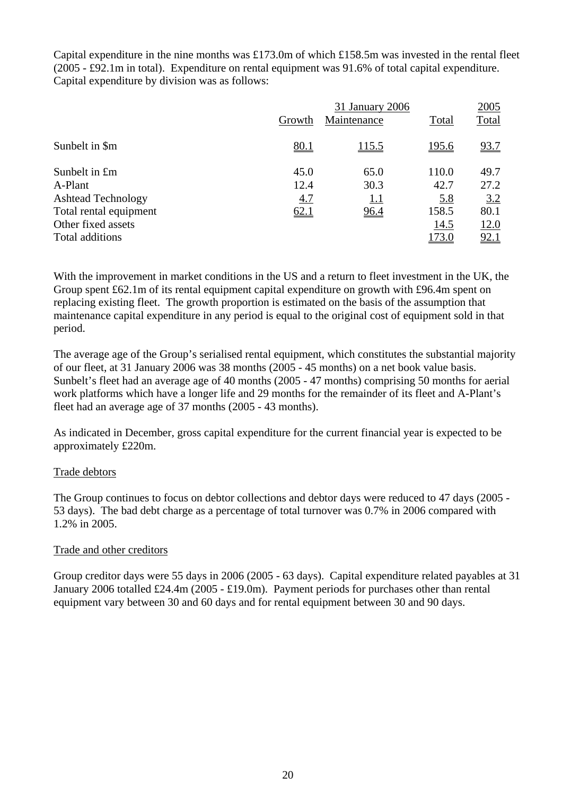Capital expenditure in the nine months was £173.0m of which £158.5m was invested in the rental fleet (2005 - £92.1m in total). Expenditure on rental equipment was 91.6% of total capital expenditure. Capital expenditure by division was as follows:

|                           |        | 31 January 2006 |              | 2005         |
|---------------------------|--------|-----------------|--------------|--------------|
|                           | Growth | Maintenance     | Total        | <b>Total</b> |
| Sunbelt in \$m            | 80.1   | <u>115.5</u>    | <u>195.6</u> | 93.7         |
| Sunbelt in £m             | 45.0   | 65.0            | 110.0        | 49.7         |
| A-Plant                   | 12.4   | 30.3            | 42.7         | 27.2         |
| <b>Ashtead Technology</b> | 4.7    | 1.1             | 5.8          | 3.2          |
| Total rental equipment    | 62.1   | 96.4            | 158.5        | 80.1         |
| Other fixed assets        |        |                 | 14.5         | 12.0         |
| Total additions           |        |                 | <u>173.0</u> | 92.1         |

With the improvement in market conditions in the US and a return to fleet investment in the UK, the Group spent £62.1m of its rental equipment capital expenditure on growth with £96.4m spent on replacing existing fleet. The growth proportion is estimated on the basis of the assumption that maintenance capital expenditure in any period is equal to the original cost of equipment sold in that period.

The average age of the Group's serialised rental equipment, which constitutes the substantial majority of our fleet, at 31 January 2006 was 38 months (2005 - 45 months) on a net book value basis. Sunbelt's fleet had an average age of 40 months (2005 - 47 months) comprising 50 months for aerial work platforms which have a longer life and 29 months for the remainder of its fleet and A-Plant's fleet had an average age of 37 months (2005 - 43 months).

As indicated in December, gross capital expenditure for the current financial year is expected to be approximately £220m.

# Trade debtors

The Group continues to focus on debtor collections and debtor days were reduced to 47 days (2005 - 53 days). The bad debt charge as a percentage of total turnover was 0.7% in 2006 compared with 1.2% in 2005.

# Trade and other creditors

Group creditor days were 55 days in 2006 (2005 - 63 days). Capital expenditure related payables at 31 January 2006 totalled £24.4m (2005 - £19.0m). Payment periods for purchases other than rental equipment vary between 30 and 60 days and for rental equipment between 30 and 90 days.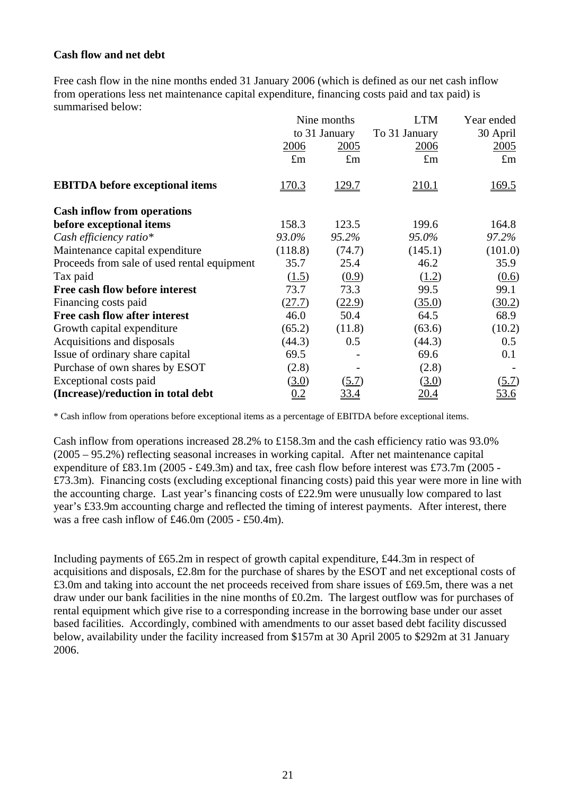## **Cash flow and net debt**

Free cash flow in the nine months ended 31 January 2006 (which is defined as our net cash inflow from operations less net maintenance capital expenditure, financing costs paid and tax paid) is summarised below:

|                                             | Nine months |               | <b>LTM</b>         | Year ended  |  |
|---------------------------------------------|-------------|---------------|--------------------|-------------|--|
|                                             |             | to 31 January | To 31 January      | 30 April    |  |
|                                             | 2006        | 2005          | 2006               | 2005        |  |
|                                             | $\pounds$ m | $\pounds$ m   | $\pounds$ m        | $\pounds$ m |  |
| <b>EBITDA</b> before exceptional items      | 170.3       | <u>129.7</u>  | 210.1              | 169.5       |  |
| <b>Cash inflow from operations</b>          |             |               |                    |             |  |
| before exceptional items                    | 158.3       | 123.5         | 199.6              | 164.8       |  |
| Cash efficiency ratio*                      | 93.0%       | 95.2%         | 95.0%              | 97.2%       |  |
| Maintenance capital expenditure             | (118.8)     | (74.7)        | (145.1)            | (101.0)     |  |
| Proceeds from sale of used rental equipment | 35.7        | 25.4          | 46.2               | 35.9        |  |
| Tax paid                                    | (1.5)       | (0.9)         | (1.2)              | (0.6)       |  |
| Free cash flow before interest              | 73.7        | 73.3          | 99.5               | 99.1        |  |
| Financing costs paid                        | (27.7)      | (22.9)        | (35.0)             | (30.2)      |  |
| Free cash flow after interest               | 46.0        | 50.4          | 64.5               | 68.9        |  |
| Growth capital expenditure                  | (65.2)      | (11.8)        | (63.6)             | (10.2)      |  |
| Acquisitions and disposals                  | (44.3)      | 0.5           | (44.3)             | 0.5         |  |
| Issue of ordinary share capital             | 69.5        |               | 69.6               | 0.1         |  |
| Purchase of own shares by ESOT              | (2.8)       |               | (2.8)              |             |  |
| Exceptional costs paid                      | (3.0)       | (5.7)         | (3.0)              | (5.7)       |  |
| (Increase)/reduction in total debt          | 0.2         | 33.4          | $\underline{20.4}$ | 53.6        |  |

\* Cash inflow from operations before exceptional items as a percentage of EBITDA before exceptional items.

Cash inflow from operations increased 28.2% to £158.3m and the cash efficiency ratio was 93.0% (2005 – 95.2%) reflecting seasonal increases in working capital. After net maintenance capital expenditure of £83.1m (2005 - £49.3m) and tax, free cash flow before interest was £73.7m (2005 - £73.3m). Financing costs (excluding exceptional financing costs) paid this year were more in line with the accounting charge. Last year's financing costs of £22.9m were unusually low compared to last year's £33.9m accounting charge and reflected the timing of interest payments. After interest, there was a free cash inflow of £46.0m (2005 - £50.4m).

Including payments of £65.2m in respect of growth capital expenditure, £44.3m in respect of acquisitions and disposals, £2.8m for the purchase of shares by the ESOT and net exceptional costs of £3.0m and taking into account the net proceeds received from share issues of £69.5m, there was a net draw under our bank facilities in the nine months of £0.2m. The largest outflow was for purchases of rental equipment which give rise to a corresponding increase in the borrowing base under our asset based facilities. Accordingly, combined with amendments to our asset based debt facility discussed below, availability under the facility increased from \$157m at 30 April 2005 to \$292m at 31 January 2006.